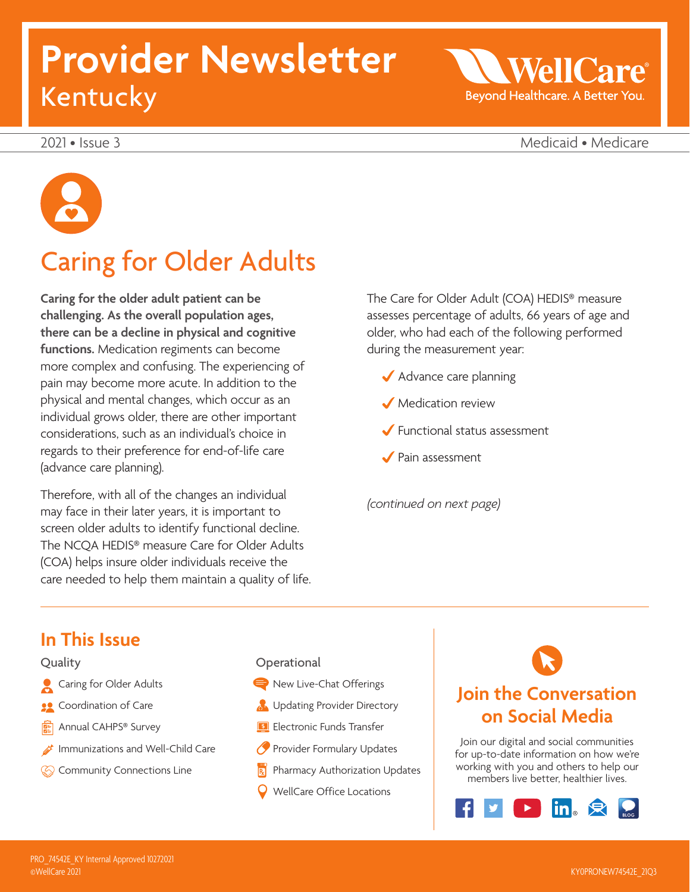# **Provider Newsletter**  Kentucky

WellC Beyond Healthcare. A Better You.

2021 • Issue 3 Medicaid • Medicare

# Caring for Older Adults

**Caring for the older adult patient can be challenging. As the overall population ages, there can be a decline in physical and cognitive functions.** Medication regiments can become more complex and confusing. The experiencing of pain may become more acute. In addition to the physical and mental changes, which occur as an individual grows older, there are other important considerations, such as an individual's choice in regards to their preference for end-of-life care (advance care planning).

Therefore, with all of the changes an individual may face in their later years, it is important to screen older adults to identify functional decline. The NCQA HEDIS® measure Care for Older Adults (COA) helps insure older individuals receive the care needed to help them maintain a quality of life. The Care for Older Adult (COA) HEDIS® measure assesses percentage of adults, 66 years of age and older, who had each of the following performed during the measurement year:

- ◆ Advance care planning
- Medication review
- Functional status assessment
- Pain assessment

*(continued on next page)* 

### **In This Issue**

#### **Quality**

- **Caring for Older Adults**
- **Coordination of Care**
- Annual CAHPS® Survey
- **Immunizations and Well-Child Care**
- **Community Connections Line**

**Operational** New Live-Chat Offerings **B** Updating Provider Directory **Electronic Funds Transfer** Provider Formulary Updates Pharmacy Authorization Updates WellCare Office Locations

# **Join the Conversation on Social Media**

Join our digital and social communities for up-to-date information on how we're working with you and others to help our members live better, healthier lives.

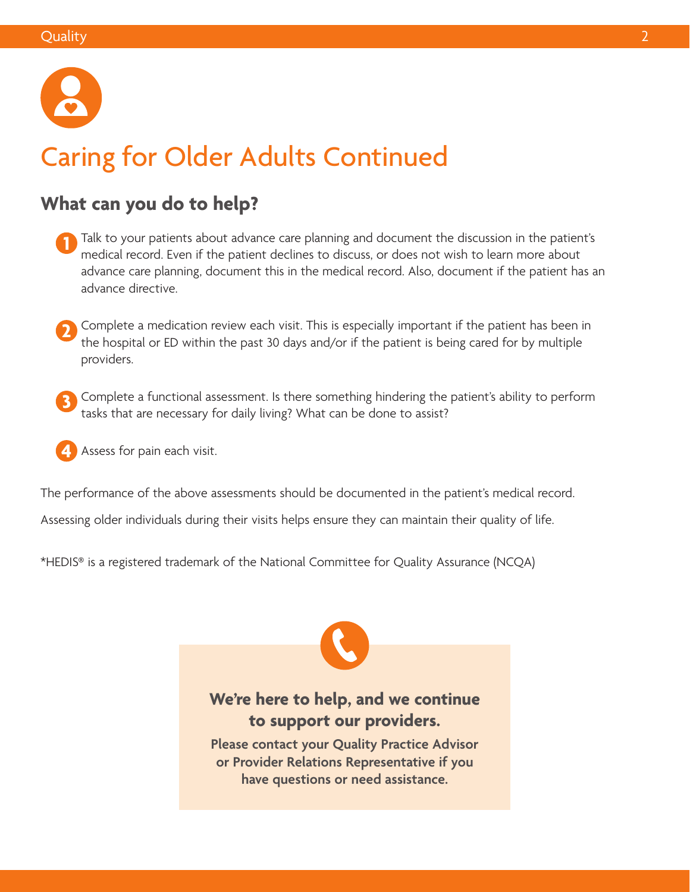

# Caring for Older Adults Continued

### **What can you do to help?**

- **1** Talk to your patients about advance care planning and document the discussion in the patient's model and the patient's medical record. Even if the patient declines to discuss, or does not wish to learn more about advance care planning, document this in the medical record. Also, document if the patient has an advance directive.
- **2** Complete a medication review each visit. This is especially important if the patient has been in the bearital or FD within the past 20 days and (as if the patient is being excel for hy multiple the hospital or ED within the past 30 days and/or if the patient is being cared for by multiple providers.
- **3** Complete a functional assessment. Is there something hindering the patient's ability to perform tasks that are necessary for daily living? What can be done to assist?
- **4** Assess for pain each visit.

The performance of the above assessments should be documented in the patient's medical record.

Assessing older individuals during their visits helps ensure they can maintain their quality of life.

\*HEDIS® is a registered trademark of the National Committee for Quality Assurance (NCQA)



**Please contact your Quality Practice Advisor or Provider Relations Representative if you have questions or need assistance.**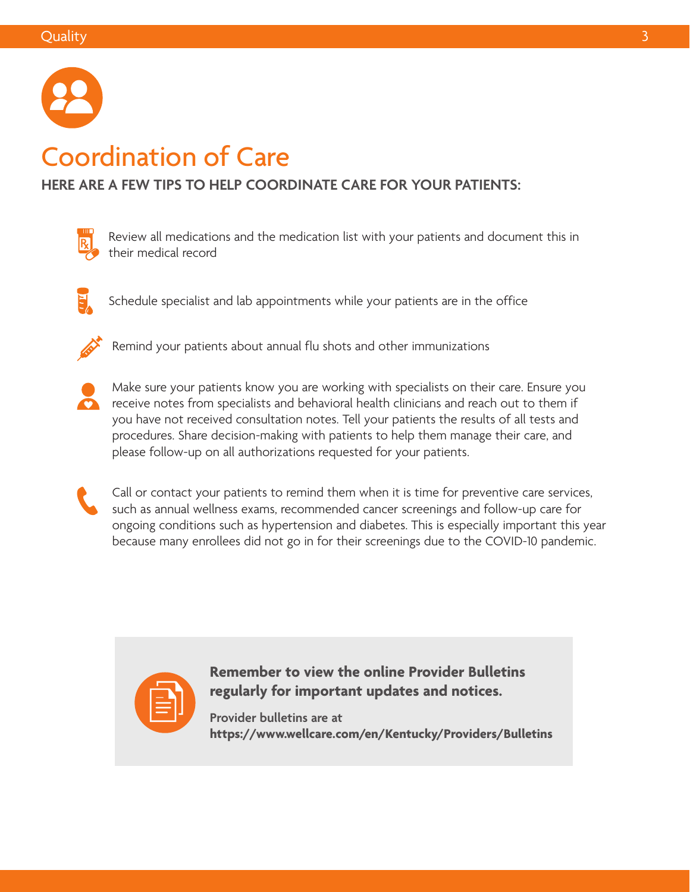

# Coordination of Care

### **HERE ARE A FEW TIPS TO HELP COORDINATE CARE FOR YOUR PATIENTS:**



Review all medications and the medication list with your patients and document this in their medical record



Schedule specialist and lab appointments while your patients are in the office



Remind your patients about annual flu shots and other immunizations



Make sure your patients know you are working with specialists on their care. Ensure you receive notes from specialists and behavioral health clinicians and reach out to them if you have not received consultation notes. Tell your patients the results of all tests and procedures. Share decision-making with patients to help them manage their care, and please follow-up on all authorizations requested for your patients.



Call or contact your patients to remind them when it is time for preventive care services, such as annual wellness exams, recommended cancer screenings and follow-up care for ongoing conditions such as hypertension and diabetes. This is especially important this year because many enrollees did not go in for their screenings due to the COVID-10 pandemic.



**Remember to view the online Provider Bulletins regularly for important updates and notices.** 

**Provider bulletins are at <https://www.wellcare.com/en/Kentucky/Providers/Bulletins>**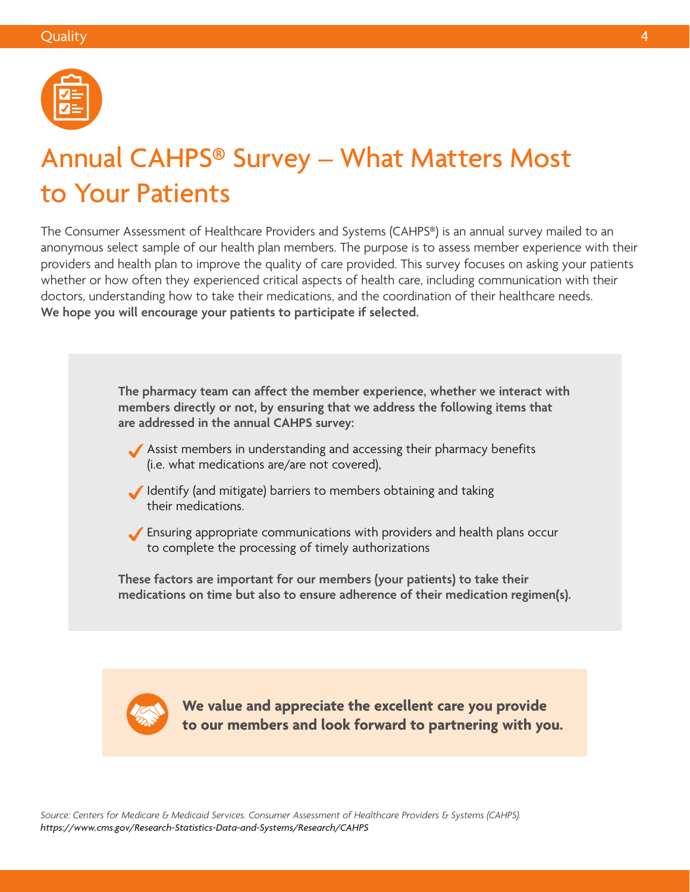

# Annual CAHPS® Survey – What Matters Most to Your Patients

The Consumer Assessment of Healthcare Providers and Systems (CAHPS®) is an annual survey mailed to an anonymous select sample of our health plan members. The purpose is to assess member experience with their providers and health plan to improve the quality of care provided. This survey focuses on asking your patients whether or how often they experienced critical aspects of health care, including communication with their doctors, understanding how to take their medications, and the coordination of their healthcare needs. **We hope you will encourage your patients to participate if selected.** 

> **The pharmacy team can affect the member experience, whether we interact with members directly or not, by ensuring that we address the following items that are addressed in the annual CAHPS survey:**

- Assist members in understanding and accessing their pharmacy benefits (i.e. what medications are/are not covered),
- Identify (and mitigate) barriers to members obtaining and taking their medications.
- Ensuring appropriate communications with providers and health plans occur to complete the processing of timely authorizations

**These factors are important for our members (your patients) to take their medications on time but also to ensure adherence of their medication regimen(s).** 



**We value and appreciate the excellent care you provide to our members and look forward to partnering with you.** 

*Source: Centers for Medicare & Medicaid Services. Consumer Assessment of Healthcare Providers & Systems (CAHPS). [https://www.cms.gov/Research-Statistics-Data-and-Systems/Research/ AHPS](https://www.cms.gov/Research-Statistics-Data-and-Systems/Research/CAHPS)*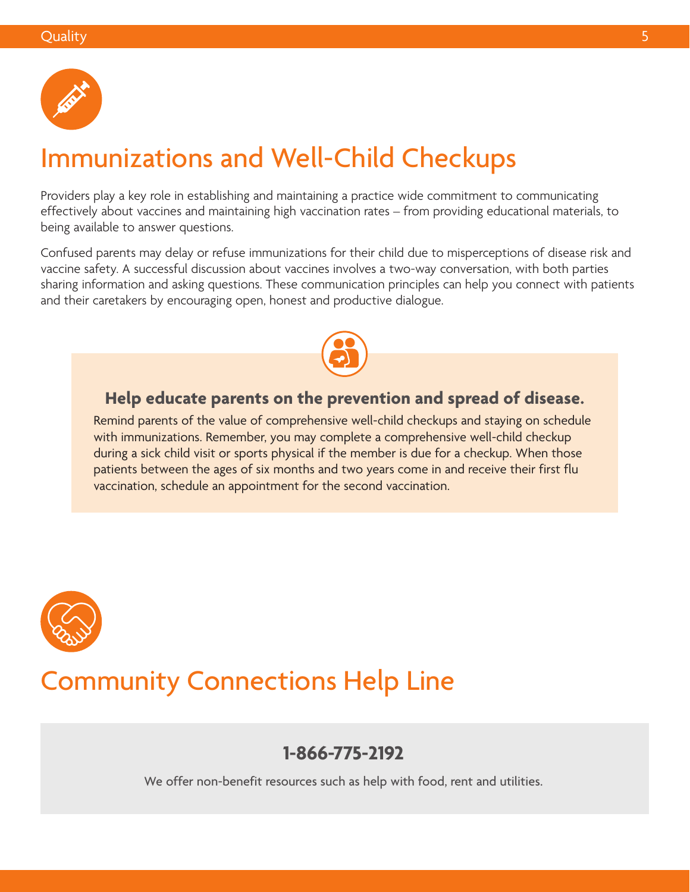

# Immunizations and Well-Child Checkups

Providers play a key role in establishing and maintaining a practice wide commitment to communicating effectively about vaccines and maintaining high vaccination rates – from providing educational materials, to being available to answer questions.

Confused parents may delay or refuse immunizations for their child due to misperceptions of disease risk and vaccine safety. A successful discussion about vaccines involves a two-way conversation, with both parties sharing information and asking questions. These communication principles can help you connect with patients and their caretakers by encouraging open, honest and productive dialogue.



### **Help educate parents on the prevention and spread of disease.**

Remind parents of the value of comprehensive well-child checkups and staying on schedule with immunizations. Remember, you may complete a comprehensive well-child checkup during a sick child visit or sports physical if the member is due for a checkup. When those patients between the ages of six months and two years come in and receive their first flu vaccination, schedule an appointment for the second vaccination.



### Community Connections Help Line

### **1-866-775-2192**

We offer non-benefit resources such as help with food, rent and utilities.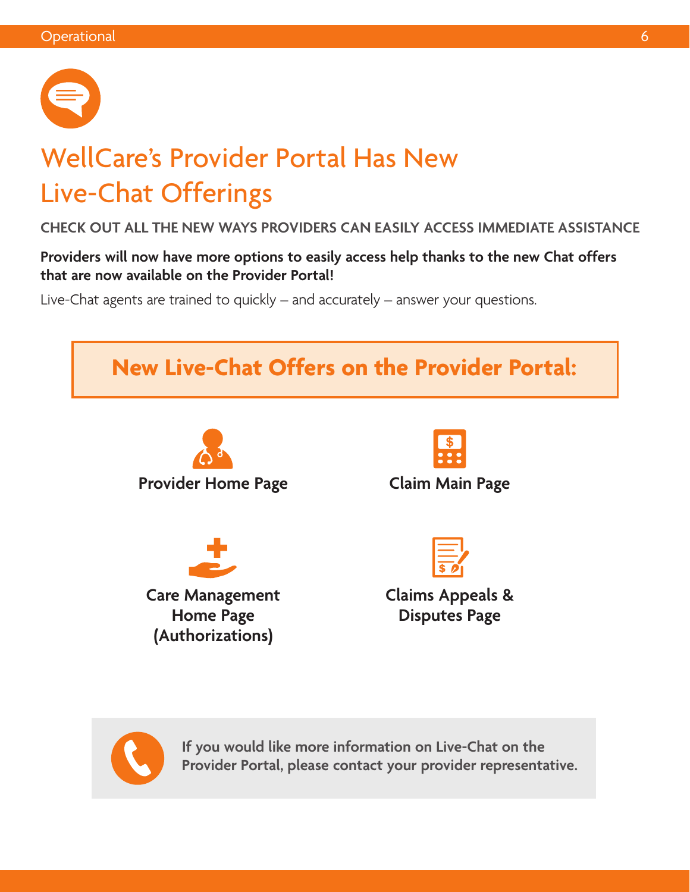

# WellCare's Provider Portal Has New Live-Chat Offerings

### **CHECK OUT ALL THE NEW WAYS PROVIDERS CAN EASILY ACCESS IMMEDIATE ASSISTANCE**

**Providers will now have more options to easily access help thanks to the new Chat offers that are now available on the Provider Portal!** 

Live-Chat agents are trained to quickly – and accurately – answer your questions.



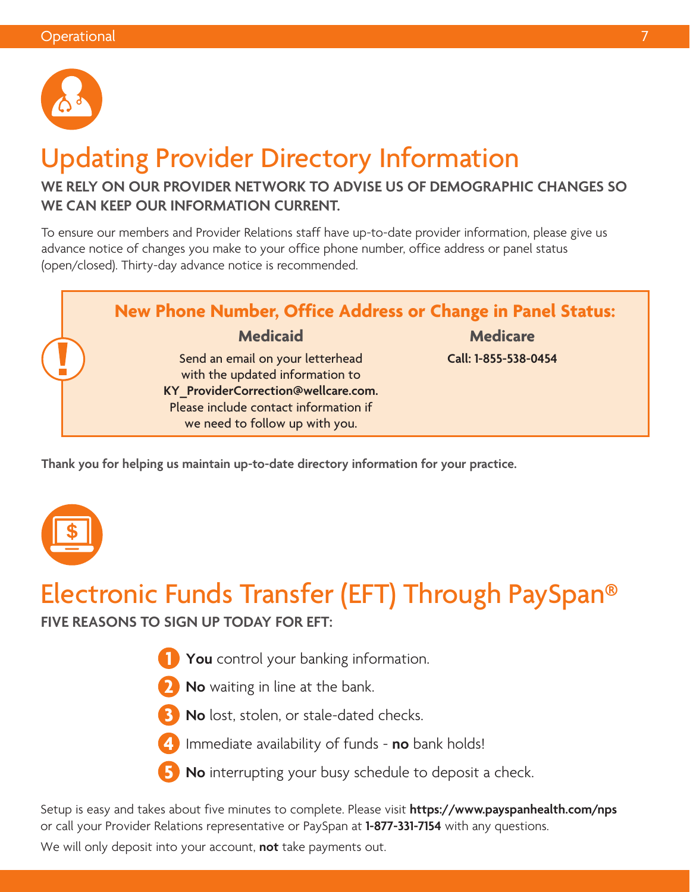

# Updating Provider Directory Information

### **WE RELY ON OUR PROVIDER NETWORK TO ADVISE US OF DEMOGRAPHIC CHANGES SO WE CAN KEEP OUR INFORMATION CURRENT.**

To ensure our members and Provider Relations staff have up-to-date provider information, please give us advance notice of changes you make to your office phone number, office address or panel status (open/closed). Thirty-day advance notice is recommended.



**Thank you for helping us maintain up-to-date directory information for your practice.** 



# Electronic Funds Transfer (EFT) Through PaySpan®

**FIVE REASONS TO SIGN UP TODAY FOR EFT:** 

- **1 You** control your banking information.
- **2 No** waiting in line at the bank.
- **3 No** lost, stolen, or stale-dated checks.
- **4** Immediate availability of funds **no** bank holds!
- **5 No** interrupting your busy schedule to deposit a check.

Setup is easy and takes about five minutes to complete. Please visit **<https://www.payspanhealth.com/nps>**  or call your Provider Relations representative or PaySpan at **1-877-331-7154** with any questions.

We will only deposit into your account, **not** take payments out.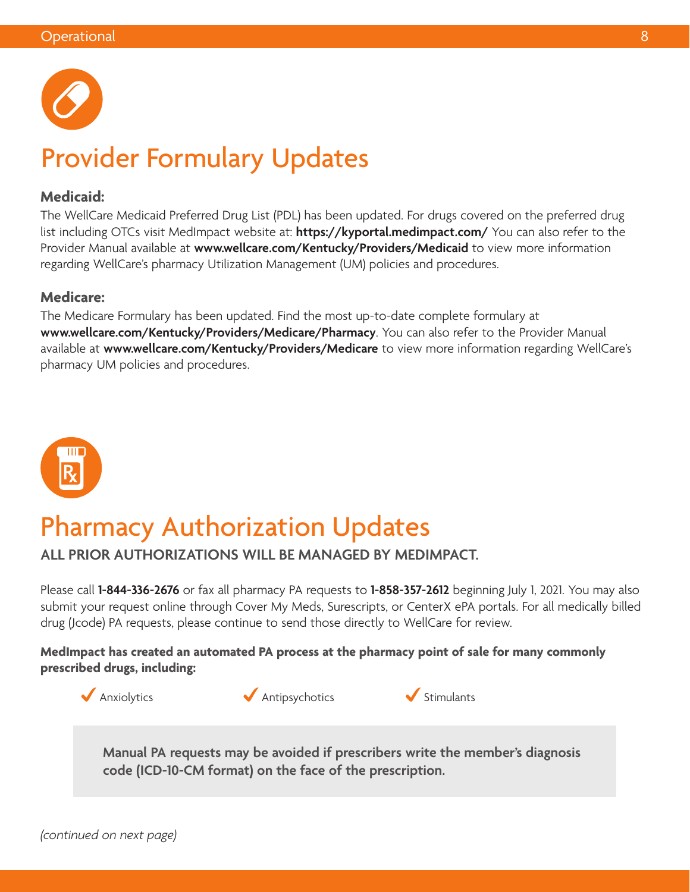

# Provider Formulary Updates

### **Medicaid:**

The WellCare Medicaid Preferred Drug List (PDL) has been updated. For drugs covered on the preferred drug list including OTCs visit MedImpact website at: **<https://kyportal.medimpact.com/>** You can also refer to the Provider Manual available at **[www.wellcare.com/Kentucky/Providers/Medicaid](http://www.wellcare.com/Kentucky/Providers/Medicaid)** to view more information regarding WellCare's pharmacy Utilization Management (UM) policies and procedures.

### **Medicare:**

The Medicare Formulary has been updated. Find the most up-to-date complete formulary at **[www.wellcare.com/Kentucky/Providers/Medicare/Pharmacy](http://www.wellcare.com/Kentucky/Providers/Medicare/Pharmacy)**. You can also refer to the Provider Manual available at **[www.wellcare.com/Kentucky/Providers/Medicare](http://www.wellcare.com/Kentucky/Providers/Medicare)** to view more information regarding WellCare's pharmacy UM policies and procedures.



# Pharmacy Authorization Updates

 **ALL PRIOR AUTHORIZATIONS WILL BE MANAGED BY MEDIMPACT.** 

Please call **1-844-336-2676** or fax all pharmacy PA requests to **1-858-357-2612** beginning July 1, 2021. You may also submit your request online through Cover My Meds, Surescripts, or CenterX ePA portals. For all medically billed drug (Jcode) PA requests, please continue to send those directly to WellCare for review.

### **prescribed drugs, including: MedImpact has created an automated PA process at the pharmacy point of sale for many commonly**



 $\blacklozenge$  Antipsychotics  $\blacklozenge$  Stimulants



**Manual PA requests may be avoided if prescribers write the member's diagnosis code (ICD-10-CM format) on the face of the prescription.**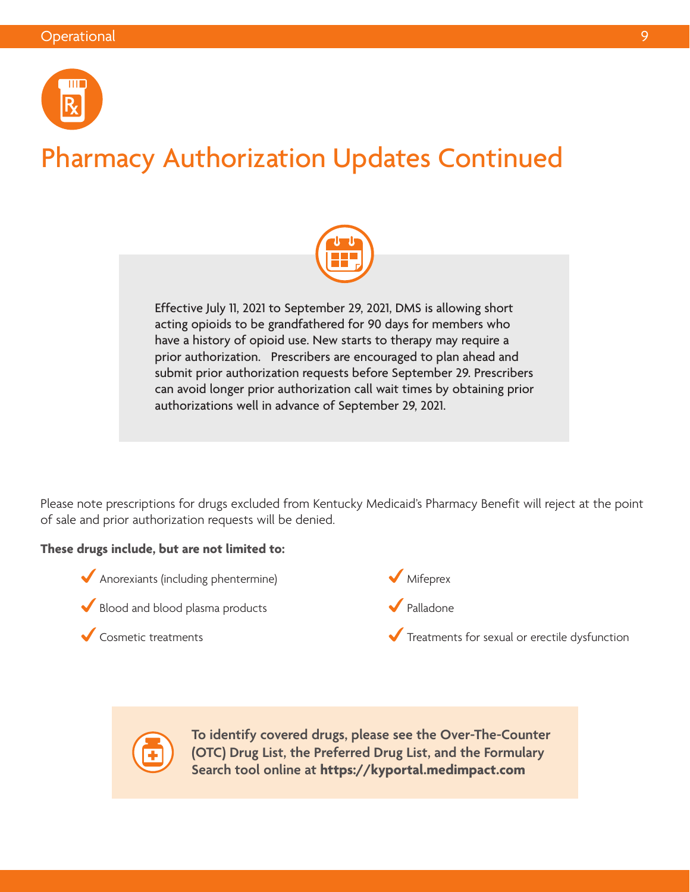

# Pharmacy Authorization Updates Continued



 prior authorization. Prescribers are encouraged to plan ahead and Effective July 11, 2021 to September 29, 2021, DMS is allowing short acting opioids to be grandfathered for 90 days for members who have a history of opioid use. New starts to therapy may require a submit prior authorization requests before September 29. Prescribers can avoid longer prior authorization call wait times by obtaining prior authorizations well in advance of September 29, 2021.

Please note prescriptions for drugs excluded from Kentucky Medicaid's Pharmacy Benefit will reject at the point of sale and prior authorization requests will be denied.

### **These drugs include, but are not limited to:**

- Anorexiants (including phentermine)
- Blood and blood plasma products

Cosmetic treatments



Palladone

Treatments for sexual or erectile dysfunction



**To identify covered drugs, please see the Over-The-Counter (OTC) Drug List, the Preferred Drug List, and the Formulary Search tool online at <https://kyportal.medimpact.com>**